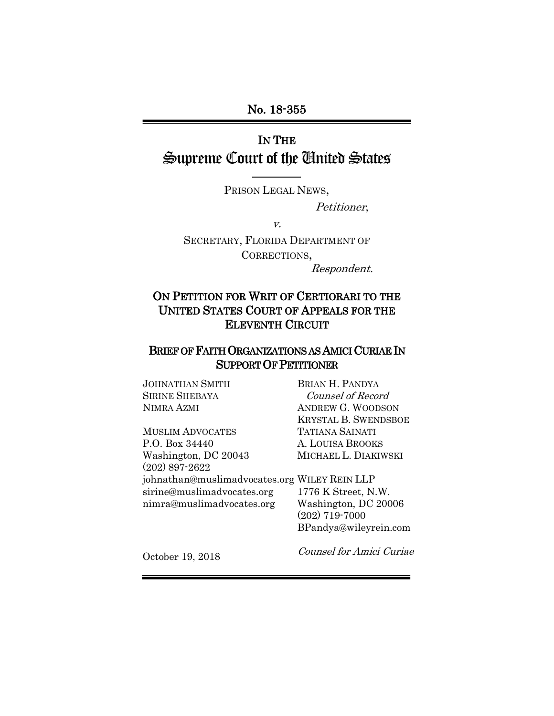No. 18-355

# IN THE Supreme Court of the United States

PRISON LEGAL NEWS,

Petitioner,

v.

SECRETARY, FLORIDA DEPARTMENT OF CORRECTIONS, Respondent.

# ON PETITION FOR WRIT OF CERTIORARI TO THE UNITED STATES COURT OF APPEALS FOR THE ELEVENTH CIRCUIT

## BRIEF OF FAITH ORGANIZATIONS AS AMICI CURIAE IN SUPPORT OF PETITIONER

JOHNATHAN SMITH SIRINE SHEBAYA NIMRA AZMI

MUSLIM ADVOCATES P.O. Box 34440 Washington, DC 20043 (202) 897-2622 johnathan@muslimadvocates.org WILEY REIN LLP sirine@muslimadvocates.org nimra@muslimadvocates.org

BRIAN H. PANDYA Counsel of Record ANDREW G. WOODSON KRYSTAL B. SWENDSBOE TATIANA SAINATI A. LOUISA BROOKS MICHAEL L. DIAKIWSKI

1776 K Street, N.W. Washington, DC 20006 (202) 719-7000 BPandya@wileyrein.com

October 19, 2018

Counsel for Amici Curiae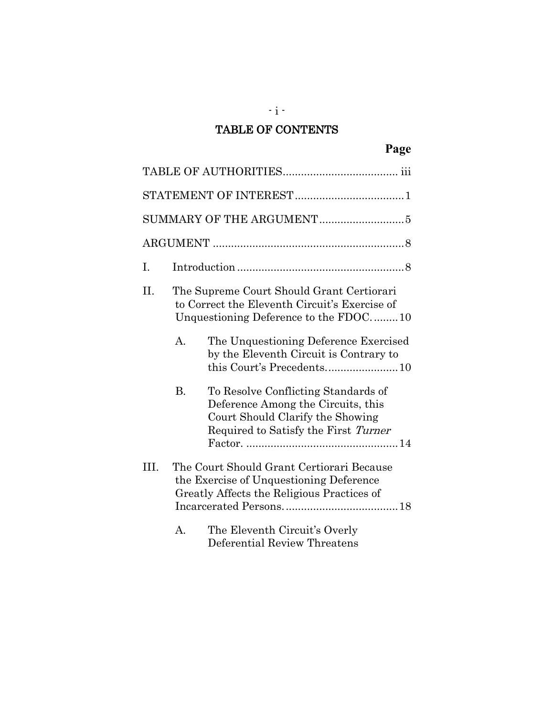# TABLE OF CONTENTS

 $-$  i  $-$ 

| I.   |                |                                                                                                                                                       |
|------|----------------|-------------------------------------------------------------------------------------------------------------------------------------------------------|
| П.   |                | The Supreme Court Should Grant Certiorari<br>to Correct the Eleventh Circuit's Exercise of<br>Unquestioning Deference to the FDOC10                   |
|      | $\mathbf{A}$ . | The Unquestioning Deference Exercised<br>by the Eleventh Circuit is Contrary to<br>this Court's Precedents10                                          |
|      | <b>B.</b>      | To Resolve Conflicting Standards of<br>Deference Among the Circuits, this<br>Court Should Clarify the Showing<br>Required to Satisfy the First Turner |
| III. |                | The Court Should Grant Certiorari Because<br>the Exercise of Unquestioning Deference<br>Greatly Affects the Religious Practices of                    |
|      | А.             | The Eleventh Circuit's Overly<br>Deferential Review Threatens                                                                                         |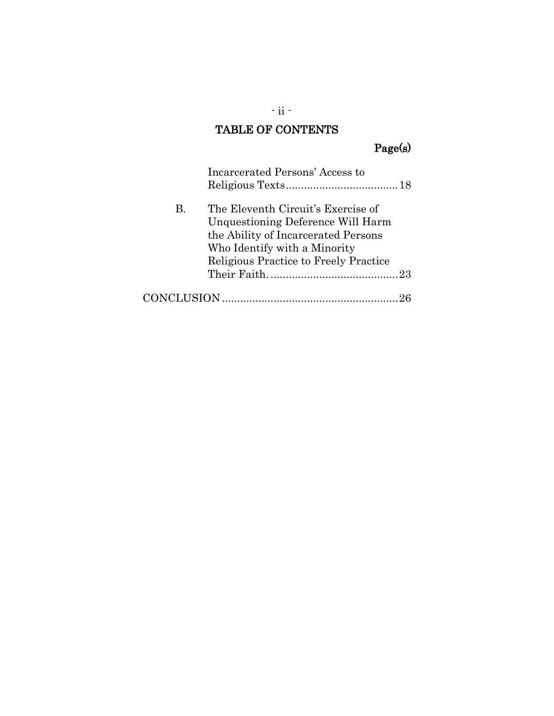# TABLE OF CONTENTS

# Page(s)

|    | Incarcerated Persons' Access to                                                                                                                                                         |
|----|-----------------------------------------------------------------------------------------------------------------------------------------------------------------------------------------|
| B. | The Eleventh Circuit's Exercise of<br>Unquestioning Deference Will Harm<br>the Ability of Incarcerated Persons<br>Who Identify with a Minority<br>Religious Practice to Freely Practice |
|    |                                                                                                                                                                                         |
|    |                                                                                                                                                                                         |

 $\cdot$ ii -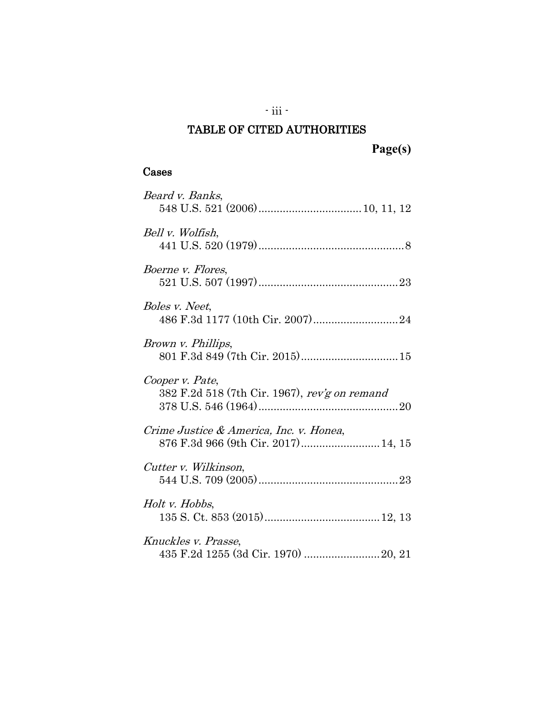# TABLE OF CITED AUTHORITIES

**Page(s)**

# Cases

| Beard v. Banks,                                                                |
|--------------------------------------------------------------------------------|
|                                                                                |
| Bell v. Wolfish,                                                               |
|                                                                                |
| Boerne v. Flores,                                                              |
| Boles v. Neet,                                                                 |
|                                                                                |
| Brown v. Phillips,                                                             |
|                                                                                |
|                                                                                |
|                                                                                |
| Cooper v. Pate,<br>382 F.2d 518 (7th Cir. 1967), rev'g on remand               |
|                                                                                |
| Crime Justice & America, Inc. v. Honea,<br>876 F.3d 966 (9th Cir. 2017) 14, 15 |
|                                                                                |
| Cutter v. Wilkinson,                                                           |
|                                                                                |
| Holt v. Hobbs,                                                                 |
| Knuckles v. Prasse,                                                            |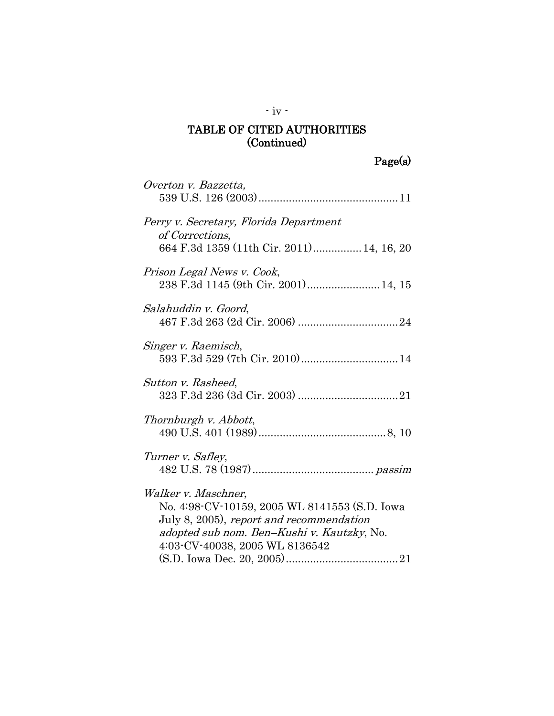| Overton v. Bazzetta,                                                                                                                                                                             |
|--------------------------------------------------------------------------------------------------------------------------------------------------------------------------------------------------|
| Perry v. Secretary, Florida Department<br>of Corrections,<br>664 F.3d 1359 (11th Cir. 2011) 14, 16, 20                                                                                           |
| Prison Legal News v. Cook,<br>238 F.3d 1145 (9th Cir. 2001) 14, 15                                                                                                                               |
| Salahuddin v. Goord,                                                                                                                                                                             |
| Singer v. Raemisch,<br>593 F.3d 529 (7th Cir. 2010) 14                                                                                                                                           |
| Sutton v. Rasheed,                                                                                                                                                                               |
| Thornburgh v. Abbott,                                                                                                                                                                            |
| Turner v. Safley,                                                                                                                                                                                |
| Walker v. Maschner,<br>No. 4:98-CV-10159, 2005 WL 8141553 (S.D. Iowa<br>July 8, 2005), report and recommendation<br>adopted sub nom. Ben-Kushi v. Kautzky, No.<br>4:03-CV-40038, 2005 WL 8136542 |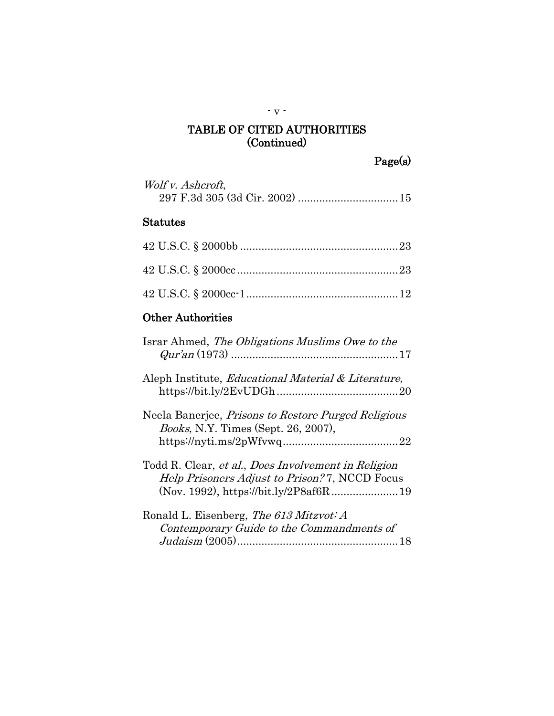| Wolf v. Ashcroft, |  |
|-------------------|--|
|                   |  |

# Statutes

# Other Authorities

| Israr Ahmed, The Obligations Muslims Owe to the                                                                                                        |
|--------------------------------------------------------------------------------------------------------------------------------------------------------|
| Aleph Institute, Educational Material & Literature,                                                                                                    |
| Neela Banerjee, <i>Prisons to Restore Purged Religious</i><br><i>Books</i> , N.Y. Times (Sept. 26, 2007),                                              |
| Todd R. Clear, et al., Does Involvement in Religion<br><i>Help Prisoners Adjust to Prison?</i> 7, NCCD Focus<br>(Nov. 1992), https://bit.ly/2P8af6R 19 |
| Ronald L. Eisenberg, The 613 Mitzvot: A<br>Contemporary Guide to the Commandments of                                                                   |

- v -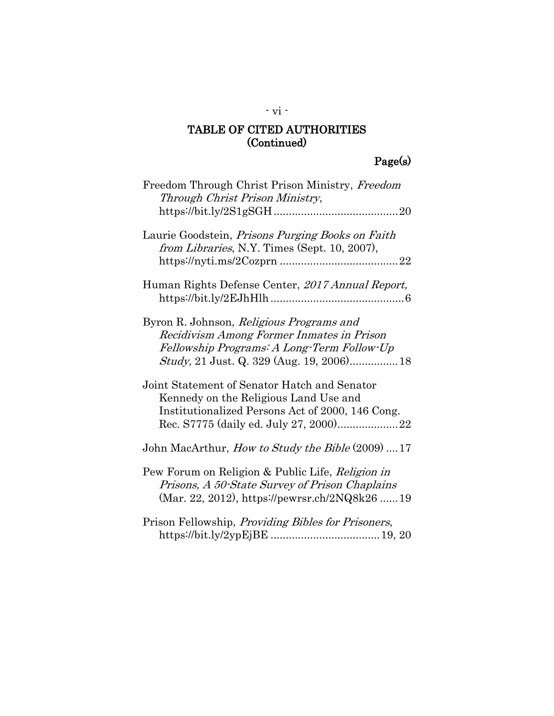# Page(s)

| Freedom Through Christ Prison Ministry, Freedom<br>Through Christ Prison Ministry,                                                                  |
|-----------------------------------------------------------------------------------------------------------------------------------------------------|
| Laurie Goodstein, Prisons Purging Books on Faith<br>from Libraries, N.Y. Times (Sept. 10, 2007),                                                    |
| Human Rights Defense Center, 2017 Annual Report,                                                                                                    |
| Byron R. Johnson, Religious Programs and<br>Recidivism Among Former Inmates in Prison<br>Fellowship Programs: A Long-Term Follow-Up                 |
| Joint Statement of Senator Hatch and Senator<br>Kennedy on the Religious Land Use and<br>Institutionalized Persons Act of 2000, 146 Cong.           |
| John MacArthur, <i>How to Study the Bible</i> (2009)  17                                                                                            |
| Pew Forum on Religion & Public Life, Religion in<br>Prisons, A 50-State Survey of Prison Chaplains<br>(Mar. 22, 2012), https://pewrsr.ch/2NQ8k26 19 |
| Prison Fellowship, <i>Providing Bibles for Prisoners</i> ,                                                                                          |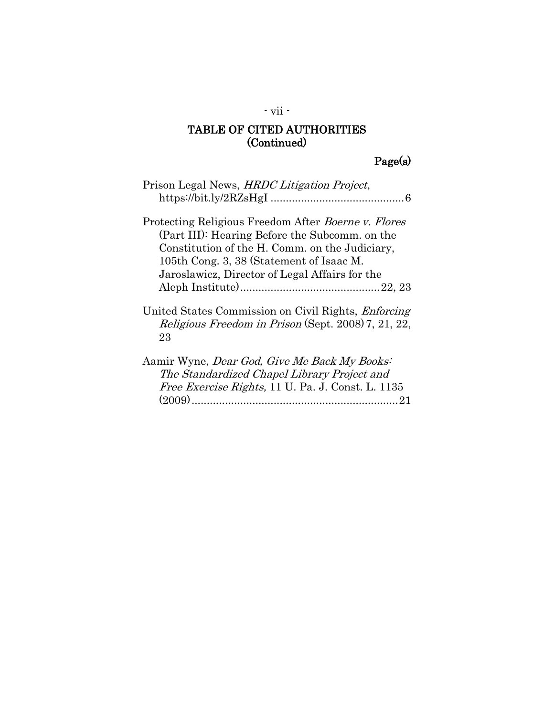# Page(s)

| Prison Legal News, HRDC Litigation Project,                                                                                                                                                                                                                  |
|--------------------------------------------------------------------------------------------------------------------------------------------------------------------------------------------------------------------------------------------------------------|
| Protecting Religious Freedom After <i>Boerne v. Flores</i><br>(Part III): Hearing Before the Subcomm. on the<br>Constitution of the H. Comm. on the Judiciary,<br>105th Cong. 3, 38 (Statement of Isaac M.<br>Jaroslawicz, Director of Legal Affairs for the |
| United States Commission on Civil Rights, <i>Enforcing</i><br>Religious Freedom in Prison (Sept. 2008) 7, 21, 22,<br>23                                                                                                                                      |
| Aamir Wyne, Dear God, Give Me Back My Books:<br>The Standardized Chapel Library Project and<br>Free Exercise Rights, 11 U. Pa. J. Const. L. 1135                                                                                                             |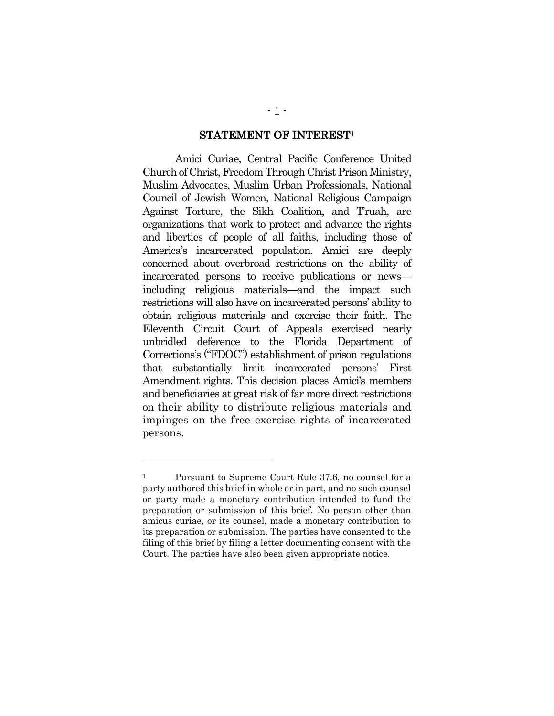#### STATEMENT OF INTEREST<sup>1</sup>

Amici Curiae, Central Pacific Conference United Church of Christ, Freedom Through Christ Prison Ministry, Muslim Advocates, Muslim Urban Professionals, National Council of Jewish Women, National Religious Campaign Against Torture, the Sikh Coalition, and T'ruah, are organizations that work to protect and advance the rights and liberties of people of all faiths, including those of America's incarcerated population. Amici are deeply concerned about overbroad restrictions on the ability of incarcerated persons to receive publications or news including religious materials—and the impact such restrictions will also have on incarcerated persons' ability to obtain religious materials and exercise their faith. The Eleventh Circuit Court of Appeals exercised nearly unbridled deference to the Florida Department of Corrections's ("FDOC") establishment of prison regulations that substantially limit incarcerated persons' First Amendment rights. This decision places Amici's members and beneficiaries at great risk of far more direct restrictions on their ability to distribute religious materials and impinges on the free exercise rights of incarcerated persons.

<sup>&</sup>lt;sup>1</sup> Pursuant to Supreme Court Rule 37.6, no counsel for a party authored this brief in whole or in part, and no such counsel or party made a monetary contribution intended to fund the preparation or submission of this brief. No person other than amicus curiae, or its counsel, made a monetary contribution to its preparation or submission. The parties have consented to the filing of this brief by filing a letter documenting consent with the Court. The parties have also been given appropriate notice.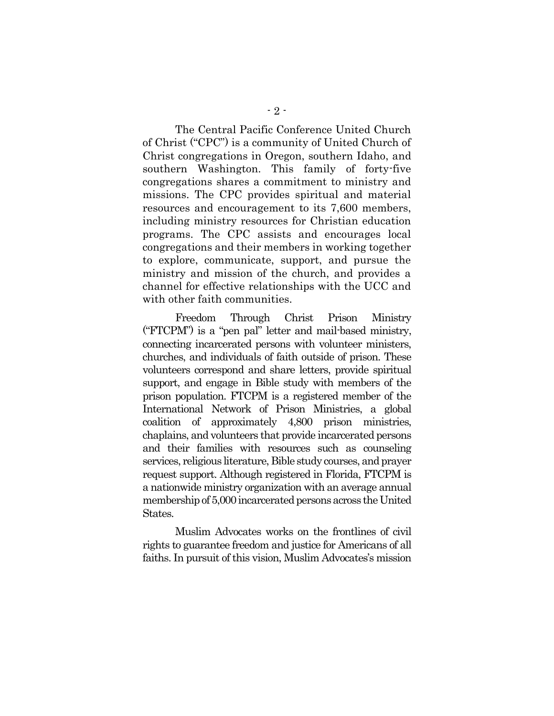The Central Pacific Conference United Church of Christ ("CPC") is a community of United Church of Christ congregations in Oregon, southern Idaho, and southern Washington. This family of forty-five congregations shares a commitment to ministry and missions. The CPC provides spiritual and material resources and encouragement to its 7,600 members, including ministry resources for Christian education programs. The CPC assists and encourages local congregations and their members in working together to explore, communicate, support, and pursue the ministry and mission of the church, and provides a channel for effective relationships with the UCC and with other faith communities.

Freedom Through Christ Prison Ministry ("FTCPM") is a "pen pal" letter and mail-based ministry, connecting incarcerated persons with volunteer ministers, churches, and individuals of faith outside of prison. These volunteers correspond and share letters, provide spiritual support, and engage in Bible study with members of the prison population. FTCPM is a registered member of the International Network of Prison Ministries, a global coalition of approximately 4,800 prison ministries, chaplains, and volunteers that provide incarcerated persons and their families with resources such as counseling services, religious literature, Bible study courses, and prayer request support. Although registered in Florida, FTCPM is a nationwide ministry organization with an average annual membership of 5,000 incarcerated persons across the United States.

Muslim Advocates works on the frontlines of civil rights to guarantee freedom and justice for Americans of all faiths. In pursuit of this vision, Muslim Advocates's mission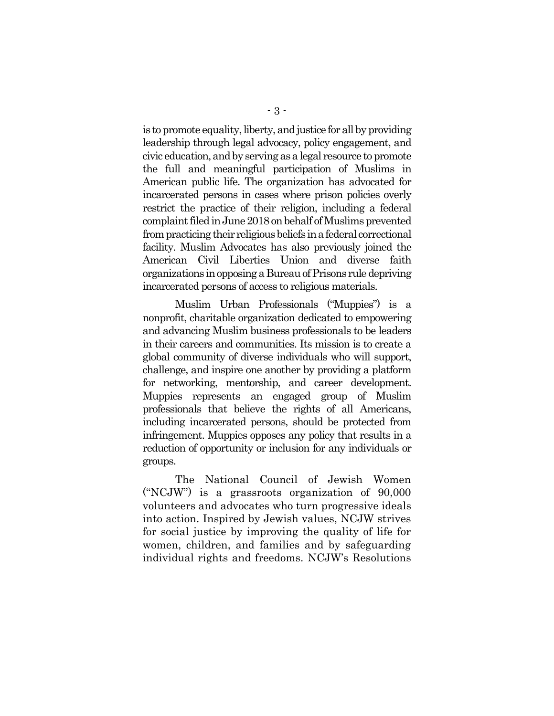is to promote equality, liberty, and justice for all by providing leadership through legal advocacy, policy engagement, and civic education, and by serving as a legal resource to promote the full and meaningful participation of Muslims in American public life. The organization has advocated for incarcerated persons in cases where prison policies overly restrict the practice of their religion, including a federal complaint filed in June 2018 on behalf of Muslims prevented from practicing their religious beliefs in a federal correctional facility. Muslim Advocates has also previously joined the American Civil Liberties Union and diverse faith organizations in opposing a Bureau of Prisons rule depriving incarcerated persons of access to religious materials.

Muslim Urban Professionals ("Muppies") is a nonprofit, charitable organization dedicated to empowering and advancing Muslim business professionals to be leaders in their careers and communities. Its mission is to create a global community of diverse individuals who will support, challenge, and inspire one another by providing a platform for networking, mentorship, and career development. Muppies represents an engaged group of Muslim professionals that believe the rights of all Americans, including incarcerated persons, should be protected from infringement. Muppies opposes any policy that results in a reduction of opportunity or inclusion for any individuals or groups.

The National Council of Jewish Women ("NCJW") is a grassroots organization of 90,000 volunteers and advocates who turn progressive ideals into action. Inspired by Jewish values, NCJW strives for social justice by improving the quality of life for women, children, and families and by safeguarding individual rights and freedoms. NCJW's Resolutions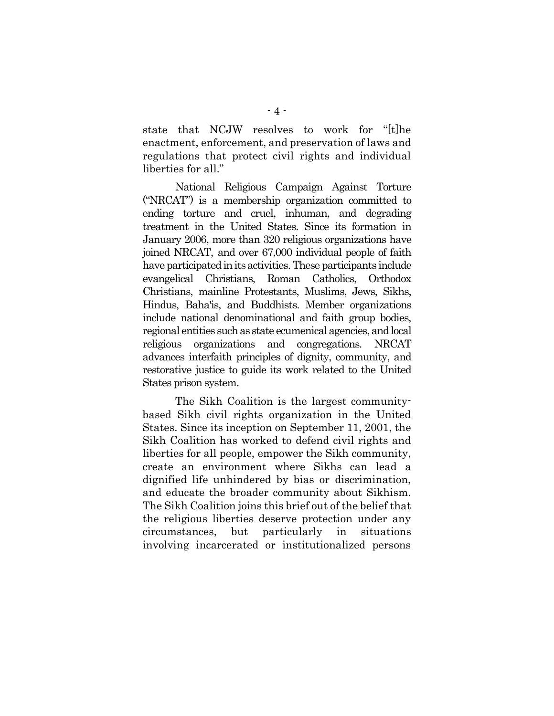state that NCJW resolves to work for "[t]he enactment, enforcement, and preservation of laws and regulations that protect civil rights and individual liberties for all."

National Religious Campaign Against Torture ("NRCAT") is a membership organization committed to ending torture and cruel, inhuman, and degrading treatment in the United States. Since its formation in January 2006, more than 320 religious organizations have joined NRCAT, and over 67,000 individual people of faith have participated in its activities. These participants include evangelical Christians, Roman Catholics, Orthodox Christians, mainline Protestants, Muslims, Jews, Sikhs, Hindus, Baha'is, and Buddhists. Member organizations include national denominational and faith group bodies, regional entities such as state ecumenical agencies, and local religious organizations and congregations. NRCAT advances interfaith principles of dignity, community, and restorative justice to guide its work related to the United States prison system.

The Sikh Coalition is the largest communitybased Sikh civil rights organization in the United States. Since its inception on September 11, 2001, the Sikh Coalition has worked to defend civil rights and liberties for all people, empower the Sikh community, create an environment where Sikhs can lead a dignified life unhindered by bias or discrimination, and educate the broader community about Sikhism. The Sikh Coalition joins this brief out of the belief that the religious liberties deserve protection under any circumstances, but particularly in situations involving incarcerated or institutionalized persons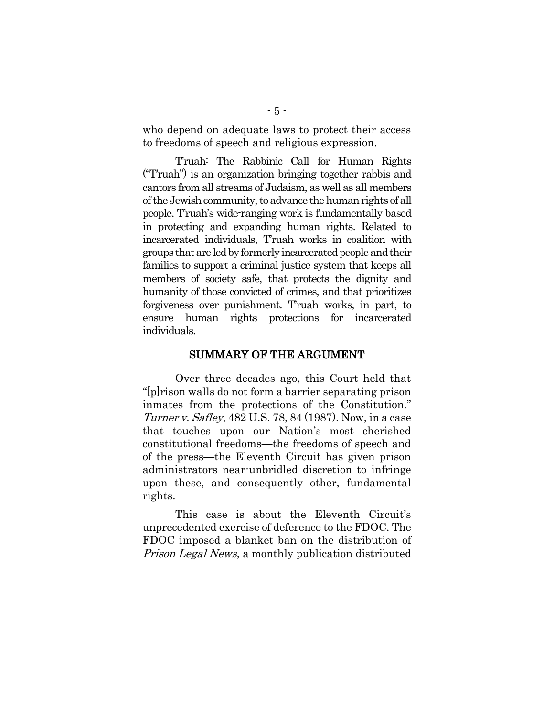who depend on adequate laws to protect their access to freedoms of speech and religious expression.

T'ruah: The Rabbinic Call for Human Rights ("T'ruah") is an organization bringing together rabbis and cantors from all streams of Judaism, as well as all members of the Jewish community, to advance the human rights of all people. T'ruah's wide-ranging work is fundamentally based in protecting and expanding human rights. Related to incarcerated individuals, T'ruah works in coalition with groups that are led by formerly incarcerated people and their families to support a criminal justice system that keeps all members of society safe, that protects the dignity and humanity of those convicted of crimes, and that prioritizes forgiveness over punishment. T'ruah works, in part, to ensure human rights protections for incarcerated individuals.

#### SUMMARY OF THE ARGUMENT

<span id="page-12-0"></span>Over three decades ago, this Court held that "[p]rison walls do not form a barrier separating prison inmates from the protections of the Constitution." Turner v. Safley, 482 U.S. 78, 84 (1987). Now, in a case that touches upon our Nation's most cherished constitutional freedoms—the freedoms of speech and of the press—the Eleventh Circuit has given prison administrators near-unbridled discretion to infringe upon these, and consequently other, fundamental rights.

This case is about the Eleventh Circuit's unprecedented exercise of deference to the FDOC. The FDOC imposed a blanket ban on the distribution of Prison Legal News, a monthly publication distributed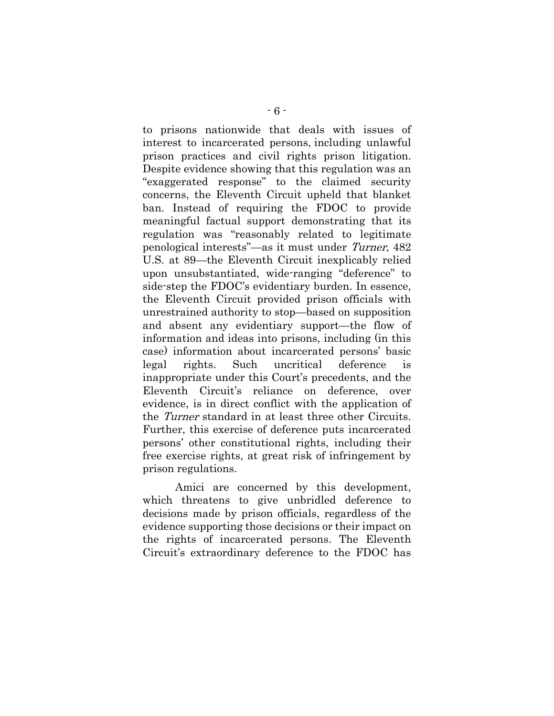to prisons nationwide that deals with issues of interest to incarcerated persons, including unlawful prison practices and civil rights prison litigation. Despite evidence showing that this regulation was an "exaggerated response" to the claimed security concerns, the Eleventh Circuit upheld that blanket ban. Instead of requiring the FDOC to provide meaningful factual support demonstrating that its regulation was "reasonably related to legitimate penological interests"—as it must under Turner, 482 U.S. at 89—the Eleventh Circuit inexplicably relied upon unsubstantiated, wide-ranging "deference" to side-step the FDOC's evidentiary burden. In essence, the Eleventh Circuit provided prison officials with unrestrained authority to stop—based on supposition and absent any evidentiary support—the flow of information and ideas into prisons, including (in this case) information about incarcerated persons' basic legal rights. Such uncritical deference is inappropriate under this Court's precedents, and the Eleventh Circuit's reliance on deference, over evidence, is in direct conflict with the application of the Turner standard in at least three other Circuits. Further, this exercise of deference puts incarcerated persons' other constitutional rights, including their free exercise rights, at great risk of infringement by prison regulations.

Amici are concerned by this development, which threatens to give unbridled deference to decisions made by prison officials, regardless of the evidence supporting those decisions or their impact on the rights of incarcerated persons. The Eleventh Circuit's extraordinary deference to the FDOC has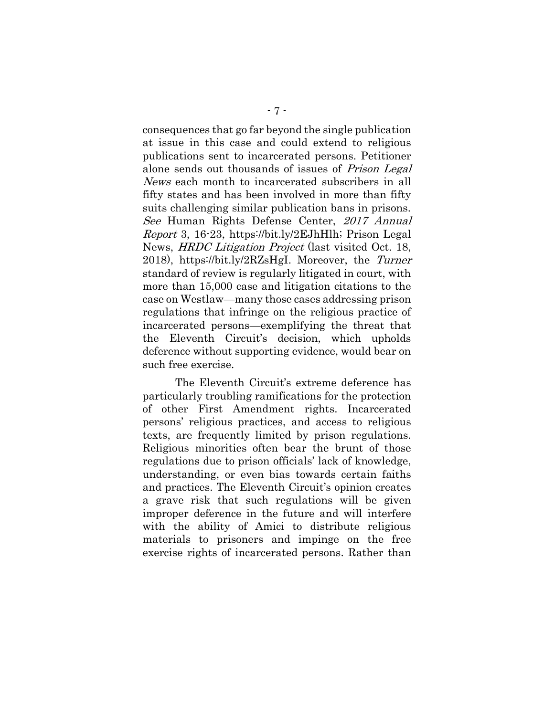consequences that go far beyond the single publication at issue in this case and could extend to religious publications sent to incarcerated persons. Petitioner alone sends out thousands of issues of Prison Legal News each month to incarcerated subscribers in all fifty states and has been involved in more than fifty suits challenging similar publication bans in prisons. See Human Rights Defense Center, 2017 Annual Report 3, 16-23, https://bit.ly/2EJhHlh; Prison Legal News, HRDC Litigation Project (last visited Oct. 18, 2018), https://bit.ly/2RZsHgI. Moreover, the Turner standard of review is regularly litigated in court, with more than 15,000 case and litigation citations to the case on Westlaw—many those cases addressing prison regulations that infringe on the religious practice of incarcerated persons—exemplifying the threat that the Eleventh Circuit's decision, which upholds deference without supporting evidence, would bear on such free exercise.

The Eleventh Circuit's extreme deference has particularly troubling ramifications for the protection of other First Amendment rights. Incarcerated persons' religious practices, and access to religious texts, are frequently limited by prison regulations. Religious minorities often bear the brunt of those regulations due to prison officials' lack of knowledge, understanding, or even bias towards certain faiths and practices. The Eleventh Circuit's opinion creates a grave risk that such regulations will be given improper deference in the future and will interfere with the ability of Amici to distribute religious materials to prisoners and impinge on the free exercise rights of incarcerated persons. Rather than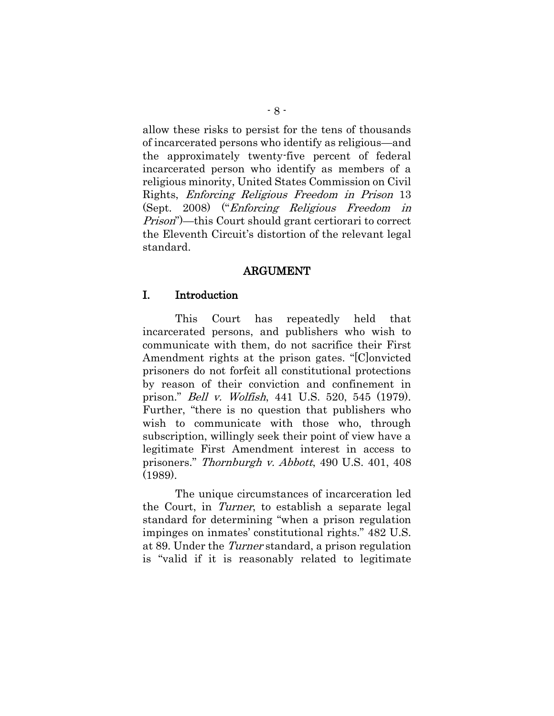allow these risks to persist for the tens of thousands of incarcerated persons who identify as religious—and the approximately twenty-five percent of federal incarcerated person who identify as members of a religious minority, United States Commission on Civil Rights, Enforcing Religious Freedom in Prison 13 (Sept. 2008) ("Enforcing Religious Freedom in Prison")—this Court should grant certiorari to correct the Eleventh Circuit's distortion of the relevant legal standard.

#### ARGUMENT

#### I. Introduction

<span id="page-15-0"></span>This Court has repeatedly held that incarcerated persons, and publishers who wish to communicate with them, do not sacrifice their First Amendment rights at the prison gates. "[C]onvicted prisoners do not forfeit all constitutional protections by reason of their conviction and confinement in prison." Bell v. Wolfish, 441 U.S. 520, 545 (1979). Further, "there is no question that publishers who wish to communicate with those who, through subscription, willingly seek their point of view have a legitimate First Amendment interest in access to prisoners." Thornburgh v. Abbott, 490 U.S. 401, 408 (1989).

<span id="page-15-1"></span>The unique circumstances of incarceration led the Court, in Turner, to establish a separate legal standard for determining "when a prison regulation impinges on inmates' constitutional rights." 482 U.S. at 89. Under the Turner standard, a prison regulation is "valid if it is reasonably related to legitimate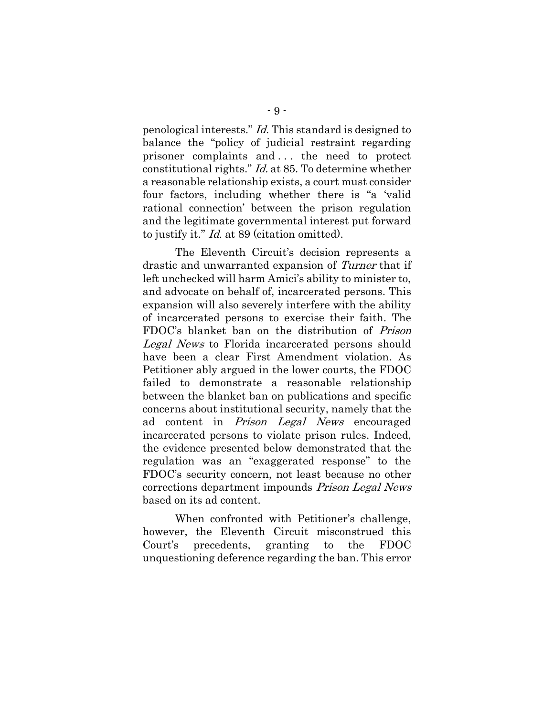penological interests." Id. This standard is designed to balance the "policy of judicial restraint regarding prisoner complaints and . . . the need to protect constitutional rights." Id. at 85. To determine whether a reasonable relationship exists, a court must consider four factors, including whether there is "a 'valid rational connection' between the prison regulation and the legitimate governmental interest put forward to justify it." Id. at 89 (citation omitted).

The Eleventh Circuit's decision represents a drastic and unwarranted expansion of Turner that if left unchecked will harm Amici's ability to minister to, and advocate on behalf of, incarcerated persons. This expansion will also severely interfere with the ability of incarcerated persons to exercise their faith. The FDOC's blanket ban on the distribution of Prison Legal News to Florida incarcerated persons should have been a clear First Amendment violation. As Petitioner ably argued in the lower courts, the FDOC failed to demonstrate a reasonable relationship between the blanket ban on publications and specific concerns about institutional security, namely that the ad content in *Prison Legal News* encouraged incarcerated persons to violate prison rules. Indeed, the evidence presented below demonstrated that the regulation was an "exaggerated response" to the FDOC's security concern, not least because no other corrections department impounds Prison Legal News based on its ad content.

When confronted with Petitioner's challenge, however, the Eleventh Circuit misconstrued this Court's precedents, granting to the FDOC unquestioning deference regarding the ban. This error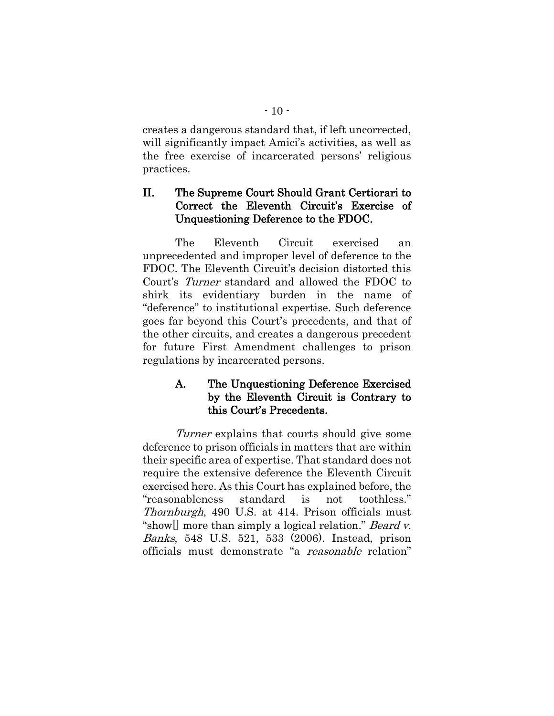creates a dangerous standard that, if left uncorrected, will significantly impact Amici's activities, as well as the free exercise of incarcerated persons' religious practices.

## II. The Supreme Court Should Grant Certiorari to Correct the Eleventh Circuit's Exercise of Unquestioning Deference to the FDOC.

The Eleventh Circuit exercised an unprecedented and improper level of deference to the FDOC. The Eleventh Circuit's decision distorted this Court's Turner standard and allowed the FDOC to shirk its evidentiary burden in the name of "deference" to institutional expertise. Such deference goes far beyond this Court's precedents, and that of the other circuits, and creates a dangerous precedent for future First Amendment challenges to prison regulations by incarcerated persons.

## A. The Unquestioning Deference Exercised by the Eleventh Circuit is Contrary to this Court's Precedents.

<span id="page-17-0"></span>Turner explains that courts should give some deference to prison officials in matters that are within their specific area of expertise. That standard does not require the extensive deference the Eleventh Circuit exercised here. As this Court has explained before, the "reasonableness standard is not toothless." Thornburgh, 490 U.S. at 414. Prison officials must "show[] more than simply a logical relation." *Beard v.* Banks, 548 U.S. 521, 533 (2006). Instead, prison officials must demonstrate "a reasonable relation"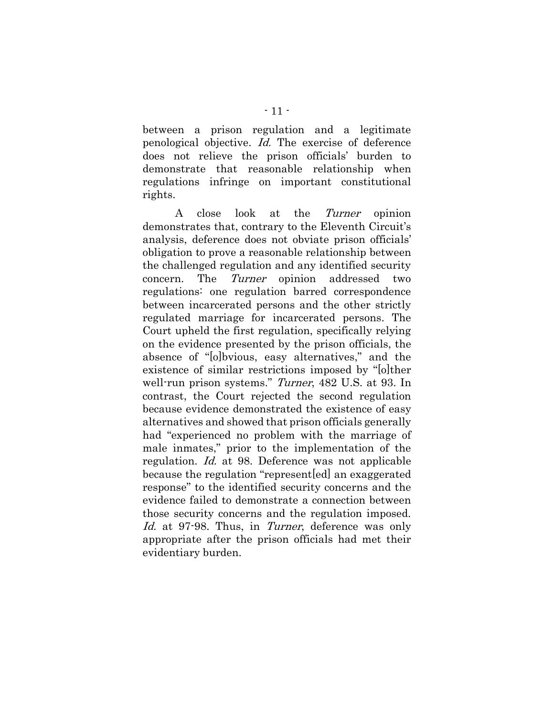between a prison regulation and a legitimate penological objective. Id. The exercise of deference does not relieve the prison officials' burden to demonstrate that reasonable relationship when regulations infringe on important constitutional rights.

A close look at the Turner opinion demonstrates that, contrary to the Eleventh Circuit's analysis, deference does not obviate prison officials' obligation to prove a reasonable relationship between the challenged regulation and any identified security concern. The Turner opinion addressed two regulations: one regulation barred correspondence between incarcerated persons and the other strictly regulated marriage for incarcerated persons. The Court upheld the first regulation, specifically relying on the evidence presented by the prison officials, the absence of "[o]bvious, easy alternatives," and the existence of similar restrictions imposed by "[o]ther well-run prison systems." Turner, 482 U.S. at 93. In contrast, the Court rejected the second regulation because evidence demonstrated the existence of easy alternatives and showed that prison officials generally had "experienced no problem with the marriage of male inmates," prior to the implementation of the regulation. Id. at 98. Deference was not applicable because the regulation "represent[ed] an exaggerated response" to the identified security concerns and the evidence failed to demonstrate a connection between those security concerns and the regulation imposed. Id. at 97-98. Thus, in Turner, deference was only appropriate after the prison officials had met their evidentiary burden.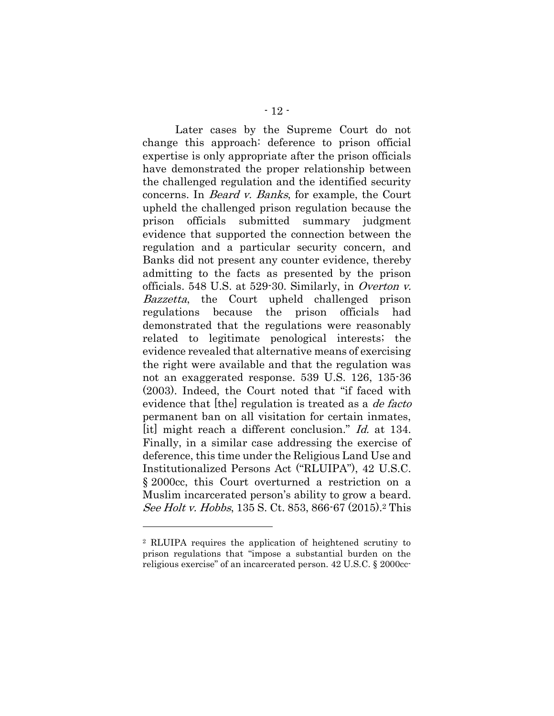<span id="page-19-1"></span><span id="page-19-0"></span>Later cases by the Supreme Court do not change this approach: deference to prison official expertise is only appropriate after the prison officials have demonstrated the proper relationship between the challenged regulation and the identified security concerns. In Beard v. Banks, for example, the Court upheld the challenged prison regulation because the prison officials submitted summary judgment evidence that supported the connection between the regulation and a particular security concern, and Banks did not present any counter evidence, thereby admitting to the facts as presented by the prison officials. 548 U.S. at 529-30. Similarly, in Overton v. Bazzetta, the Court upheld challenged prison regulations because the prison officials had demonstrated that the regulations were reasonably related to legitimate penological interests; the evidence revealed that alternative means of exercising the right were available and that the regulation was not an exaggerated response. 539 U.S. 126, 135-36 (2003). Indeed, the Court noted that "if faced with evidence that [the] regulation is treated as a *de facto* permanent ban on all visitation for certain inmates, [it] might reach a different conclusion." *Id.* at 134. Finally, in a similar case addressing the exercise of deference, this time under the Religious Land Use and Institutionalized Persons Act ("RLUIPA"), 42 U.S.C. § 2000cc, this Court overturned a restriction on a Muslim incarcerated person's ability to grow a beard. See Holt v. Hobbs, 135 S. Ct. 853, 866-67 (2015).<sup>2</sup> This

<span id="page-19-2"></span><sup>2</sup> RLUIPA requires the application of heightened scrutiny to prison regulations that "impose a substantial burden on the religious exercise" of an incarcerated person. 42 U.S.C. § 2000cc-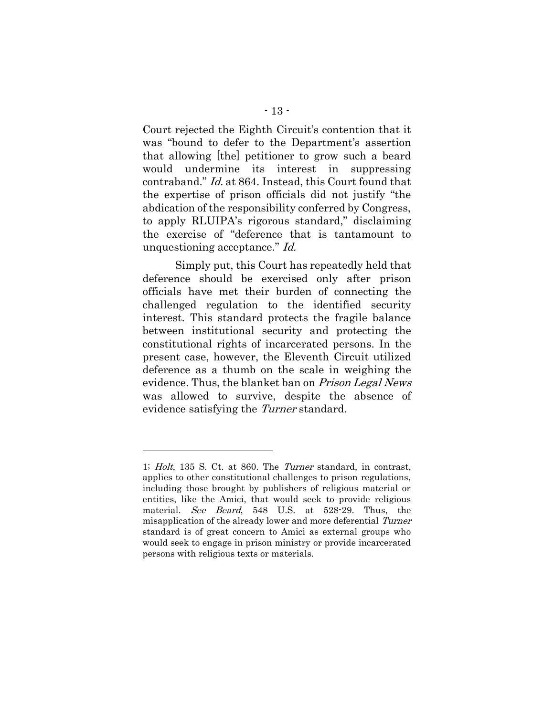<span id="page-20-0"></span>Court rejected the Eighth Circuit's contention that it was "bound to defer to the Department's assertion that allowing [the] petitioner to grow such a beard would undermine its interest in suppressing contraband." Id. at 864. Instead, this Court found that the expertise of prison officials did not justify "the abdication of the responsibility conferred by Congress, to apply RLUIPA's rigorous standard," disclaiming the exercise of "deference that is tantamount to unquestioning acceptance." Id.

Simply put, this Court has repeatedly held that deference should be exercised only after prison officials have met their burden of connecting the challenged regulation to the identified security interest. This standard protects the fragile balance between institutional security and protecting the constitutional rights of incarcerated persons. In the present case, however, the Eleventh Circuit utilized deference as a thumb on the scale in weighing the evidence. Thus, the blanket ban on Prison Legal News was allowed to survive, despite the absence of evidence satisfying the Turner standard.

<sup>1;</sup> Holt, 135 S. Ct. at 860. The Turner standard, in contrast, applies to other constitutional challenges to prison regulations, including those brought by publishers of religious material or entities, like the Amici, that would seek to provide religious material. See Beard, 548 U.S. at 528-29. Thus, the misapplication of the already lower and more deferential Turner standard is of great concern to Amici as external groups who would seek to engage in prison ministry or provide incarcerated persons with religious texts or materials.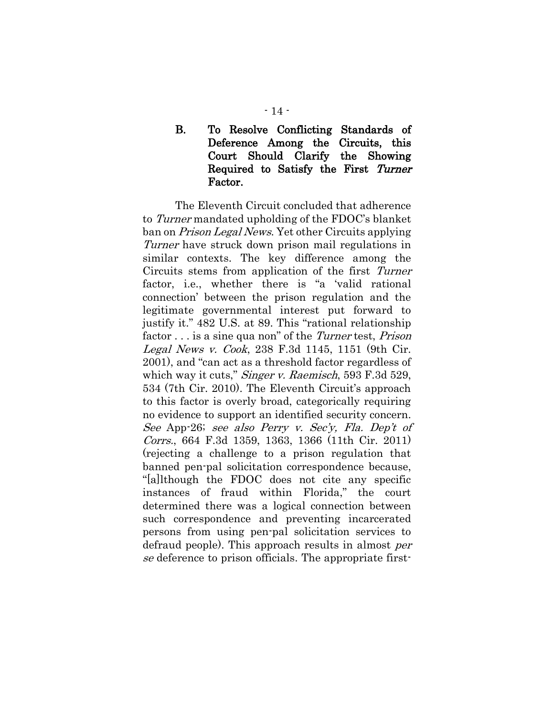### B. To Resolve Conflicting Standards of Deference Among the Circuits, this Court Should Clarify the Showing Required to Satisfy the First Turner Factor.

<span id="page-21-1"></span><span id="page-21-0"></span>The Eleventh Circuit concluded that adherence to Turner mandated upholding of the FDOC's blanket ban on Prison Legal News. Yet other Circuits applying Turner have struck down prison mail regulations in similar contexts. The key difference among the Circuits stems from application of the first Turner factor, i.e., whether there is "a 'valid rational connection' between the prison regulation and the legitimate governmental interest put forward to justify it." 482 U.S. at 89. This "rational relationship factor . . . is a sine qua non" of the *Turner* test, *Prison* Legal News v. Cook, 238 F.3d 1145, 1151 (9th Cir. 2001), and "can act as a threshold factor regardless of which way it cuts," *Singer v. Raemisch*, 593 F.3d 529, 534 (7th Cir. 2010). The Eleventh Circuit's approach to this factor is overly broad, categorically requiring no evidence to support an identified security concern. See App-26; see also Perry v. Sec'y, Fla. Dep't of Corrs., 664 F.3d 1359, 1363, 1366 (11th Cir. 2011) (rejecting a challenge to a prison regulation that banned pen-pal solicitation correspondence because, "[a]lthough the FDOC does not cite any specific instances of fraud within Florida," the court determined there was a logical connection between such correspondence and preventing incarcerated persons from using pen-pal solicitation services to defraud people). This approach results in almost per se deference to prison officials. The appropriate first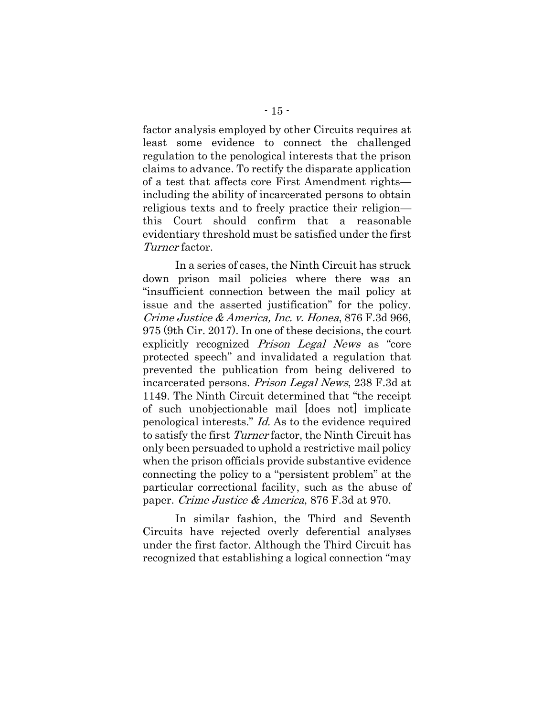factor analysis employed by other Circuits requires at least some evidence to connect the challenged regulation to the penological interests that the prison claims to advance. To rectify the disparate application of a test that affects core First Amendment rights including the ability of incarcerated persons to obtain religious texts and to freely practice their religion this Court should confirm that a reasonable evidentiary threshold must be satisfied under the first Turner factor.

<span id="page-22-0"></span>In a series of cases, the Ninth Circuit has struck down prison mail policies where there was an "insufficient connection between the mail policy at issue and the asserted justification" for the policy. Crime Justice & America, Inc. v. Honea, 876 F.3d 966, 975 (9th Cir. 2017). In one of these decisions, the court explicitly recognized Prison Legal News as "core protected speech" and invalidated a regulation that prevented the publication from being delivered to incarcerated persons. Prison Legal News, 238 F.3d at 1149. The Ninth Circuit determined that "the receipt of such unobjectionable mail [does not] implicate penological interests." Id. As to the evidence required to satisfy the first Turner factor, the Ninth Circuit has only been persuaded to uphold a restrictive mail policy when the prison officials provide substantive evidence connecting the policy to a "persistent problem" at the particular correctional facility, such as the abuse of paper. Crime Justice & America, 876 F.3d at 970.

In similar fashion, the Third and Seventh Circuits have rejected overly deferential analyses under the first factor. Although the Third Circuit has recognized that establishing a logical connection "may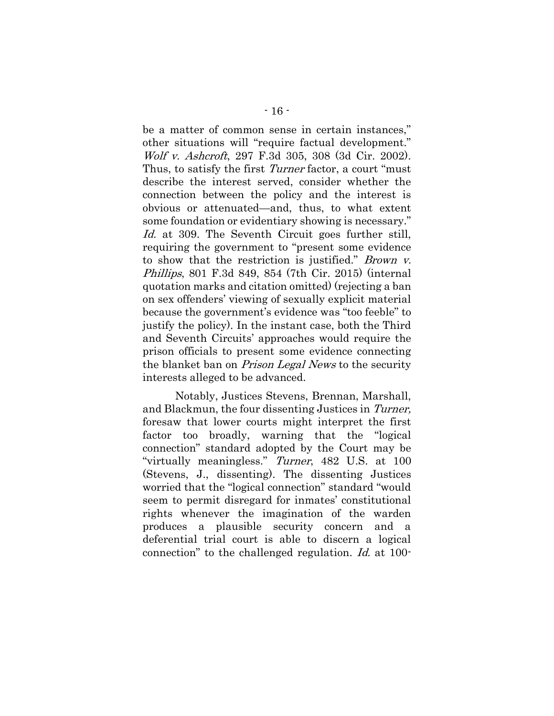<span id="page-23-1"></span><span id="page-23-0"></span>be a matter of common sense in certain instances," other situations will "require factual development." Wolf v. Ashcroft, 297 F.3d 305, 308 (3d Cir. 2002). Thus, to satisfy the first *Turner* factor, a court "must" describe the interest served, consider whether the connection between the policy and the interest is obvious or attenuated—and, thus, to what extent some foundation or evidentiary showing is necessary." Id. at 309. The Seventh Circuit goes further still, requiring the government to "present some evidence to show that the restriction is justified." Brown v. Phillips, 801 F.3d 849, 854 (7th Cir. 2015) (internal quotation marks and citation omitted) (rejecting a ban on sex offenders' viewing of sexually explicit material because the government's evidence was "too feeble" to justify the policy). In the instant case, both the Third and Seventh Circuits' approaches would require the prison officials to present some evidence connecting the blanket ban on Prison Legal News to the security interests alleged to be advanced.

Notably, Justices Stevens, Brennan, Marshall, and Blackmun, the four dissenting Justices in Turner, foresaw that lower courts might interpret the first factor too broadly, warning that the "logical connection" standard adopted by the Court may be "virtually meaningless." Turner, 482 U.S. at 100 (Stevens, J., dissenting). The dissenting Justices worried that the "logical connection" standard "would seem to permit disregard for inmates' constitutional rights whenever the imagination of the warden produces a plausible security concern and a deferential trial court is able to discern a logical connection" to the challenged regulation. Id. at 100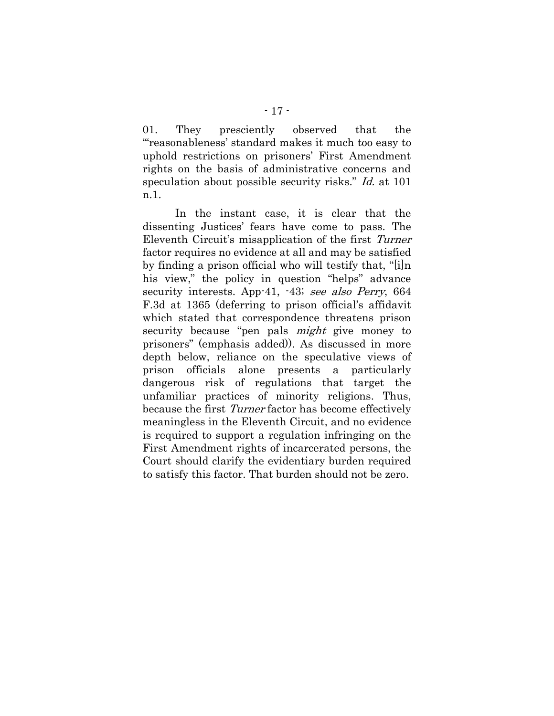01. They presciently observed that the "'reasonableness' standard makes it much too easy to uphold restrictions on prisoners' First Amendment rights on the basis of administrative concerns and speculation about possible security risks." *Id.* at 101 n.1.

In the instant case, it is clear that the dissenting Justices' fears have come to pass. The Eleventh Circuit's misapplication of the first Turner factor requires no evidence at all and may be satisfied by finding a prison official who will testify that, "[i]n his view," the policy in question "helps" advance security interests. App-41, -43; see also Perry, 664 F.3d at 1365 (deferring to prison official's affidavit which stated that correspondence threatens prison security because "pen pals *might* give money to prisoners" (emphasis added)). As discussed in more depth below, reliance on the speculative views of prison officials alone presents a particularly dangerous risk of regulations that target the unfamiliar practices of minority religions. Thus, because the first Turner factor has become effectively meaningless in the Eleventh Circuit, and no evidence is required to support a regulation infringing on the First Amendment rights of incarcerated persons, the Court should clarify the evidentiary burden required to satisfy this factor. That burden should not be zero.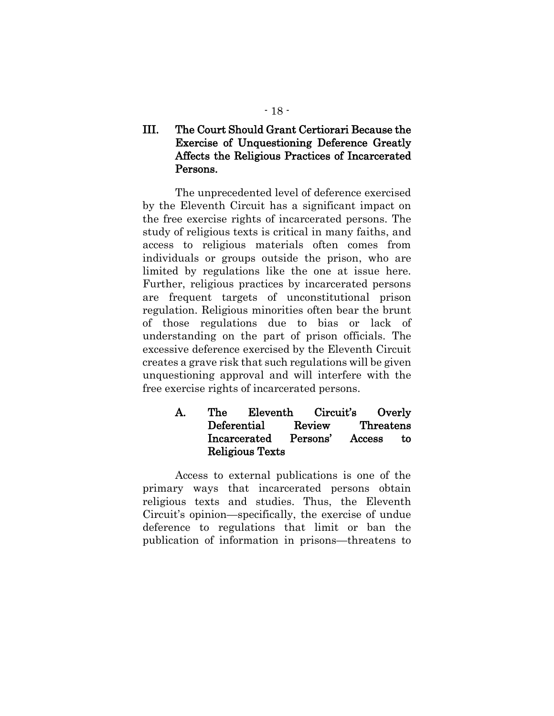## III. The Court Should Grant Certiorari Because the Exercise of Unquestioning Deference Greatly Affects the Religious Practices of Incarcerated Persons.

The unprecedented level of deference exercised by the Eleventh Circuit has a significant impact on the free exercise rights of incarcerated persons. The study of religious texts is critical in many faiths, and access to religious materials often comes from individuals or groups outside the prison, who are limited by regulations like the one at issue here. Further, religious practices by incarcerated persons are frequent targets of unconstitutional prison regulation. Religious minorities often bear the brunt of those regulations due to bias or lack of understanding on the part of prison officials. The excessive deference exercised by the Eleventh Circuit creates a grave risk that such regulations will be given unquestioning approval and will interfere with the free exercise rights of incarcerated persons.

## A. The Eleventh Circuit's Overly Deferential Review Threatens Incarcerated Persons' Access to Religious Texts

Access to external publications is one of the primary ways that incarcerated persons obtain religious texts and studies. Thus, the Eleventh Circuit's opinion—specifically, the exercise of undue deference to regulations that limit or ban the publication of information in prisons—threatens to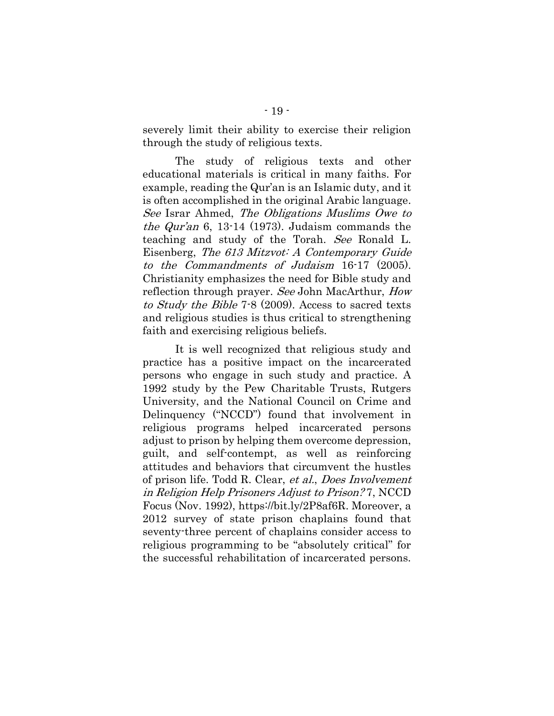severely limit their ability to exercise their religion through the study of religious texts.

<span id="page-26-1"></span><span id="page-26-0"></span>The study of religious texts and other educational materials is critical in many faiths. For example, reading the Qur'an is an Islamic duty, and it is often accomplished in the original Arabic language. See Israr Ahmed, The Obligations Muslims Owe to *the Qur'an* 6, 13-14 (1973). Judaism commands the teaching and study of the Torah. See Ronald L. Eisenberg, The 613 Mitzvot: A Contemporary Guide to the Commandments of Judaism 16-17 (2005). Christianity emphasizes the need for Bible study and reflection through prayer. See John MacArthur, How to Study the Bible 7-8 (2009). Access to sacred texts and religious studies is thus critical to strengthening faith and exercising religious beliefs.

<span id="page-26-2"></span>It is well recognized that religious study and practice has a positive impact on the incarcerated persons who engage in such study and practice. A 1992 study by the Pew Charitable Trusts, Rutgers University, and the National Council on Crime and Delinquency ("NCCD") found that involvement in religious programs helped incarcerated persons adjust to prison by helping them overcome depression, guilt, and self-contempt, as well as reinforcing attitudes and behaviors that circumvent the hustles of prison life. Todd R. Clear, et al., Does Involvement in Religion Help Prisoners Adjust to Prison? 7, NCCD Focus (Nov. 1992), https://bit.ly/2P8af6R. Moreover, a 2012 survey of state prison chaplains found that seventy-three percent of chaplains consider access to religious programming to be "absolutely critical" for the successful rehabilitation of incarcerated persons.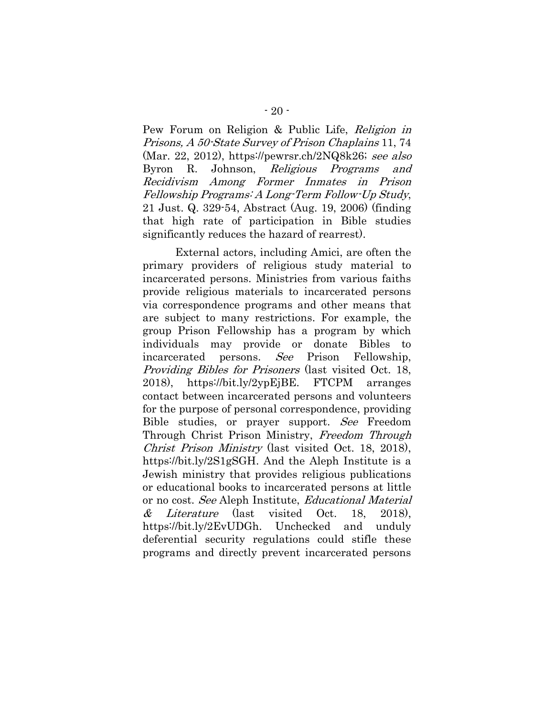<span id="page-27-1"></span><span id="page-27-0"></span>Pew Forum on Religion & Public Life, Religion in Prisons, A 50-State Survey of Prison Chaplains 11, 74 (Mar. 22, 2012), https://pewrsr.ch/2NQ8k26; see also Byron R. Johnson, Religious Programs and Recidivism Among Former Inmates in Prison Fellowship Programs: A Long-Term Follow-Up Study, 21 Just. Q. 329-54, Abstract (Aug. 19, 2006) (finding that high rate of participation in Bible studies significantly reduces the hazard of rearrest).

External actors, including Amici, are often the primary providers of religious study material to incarcerated persons. Ministries from various faiths provide religious materials to incarcerated persons via correspondence programs and other means that are subject to many restrictions. For example, the group Prison Fellowship has a program by which individuals may provide or donate Bibles to incarcerated persons. See Prison Fellowship, Providing Bibles for Prisoners (last visited Oct. 18, 2018), https://bit.ly/2ypEjBE. FTCPM arranges contact between incarcerated persons and volunteers for the purpose of personal correspondence, providing Bible studies, or prayer support. See Freedom Through Christ Prison Ministry, Freedom Through Christ Prison Ministry (last visited Oct. 18, 2018), https://bit.ly/2S1gSGH. And the Aleph Institute is a Jewish ministry that provides religious publications or educational books to incarcerated persons at little or no cost. See Aleph Institute, Educational Material  $\&$  *Literature* (last visited Oct. 18, 2018), https://bit.ly/2EvUDGh. Unchecked and unduly deferential security regulations could stifle these programs and directly prevent incarcerated persons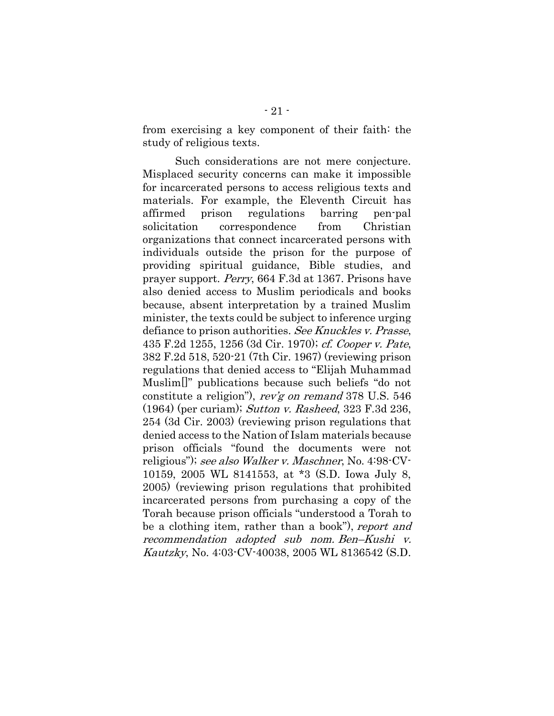from exercising a key component of their faith: the study of religious texts.

<span id="page-28-3"></span><span id="page-28-2"></span><span id="page-28-1"></span><span id="page-28-0"></span>Such considerations are not mere conjecture. Misplaced security concerns can make it impossible for incarcerated persons to access religious texts and materials. For example, the Eleventh Circuit has affirmed prison regulations barring pen-pal solicitation correspondence from Christian organizations that connect incarcerated persons with individuals outside the prison for the purpose of providing spiritual guidance, Bible studies, and prayer support. Perry, 664 F.3d at 1367. Prisons have also denied access to Muslim periodicals and books because, absent interpretation by a trained Muslim minister, the texts could be subject to inference urging defiance to prison authorities. See Knuckles v. Prasse, 435 F.2d 1255, 1256 (3d Cir. 1970); cf. Cooper v. Pate, 382 F.2d 518, 520-21 (7th Cir. 1967) (reviewing prison regulations that denied access to "Elijah Muhammad Muslim[]" publications because such beliefs "do not constitute a religion"), rev'g on remand 378 U.S. 546 (1964) (per curiam); Sutton v. Rasheed, 323 F.3d 236, 254 (3d Cir. 2003) (reviewing prison regulations that denied access to the Nation of Islam materials because prison officials "found the documents were not religious"); see also Walker v. Maschner, No. 4:98-CV-10159, 2005 WL 8141553, at \*3 (S.D. Iowa July 8, 2005) (reviewing prison regulations that prohibited incarcerated persons from purchasing a copy of the Torah because prison officials "understood a Torah to be a clothing item, rather than a book"), report and recommendation adopted sub nom. Ben–Kushi v. Kautzky, No. 4:03-CV-40038, 2005 WL 8136542 (S.D.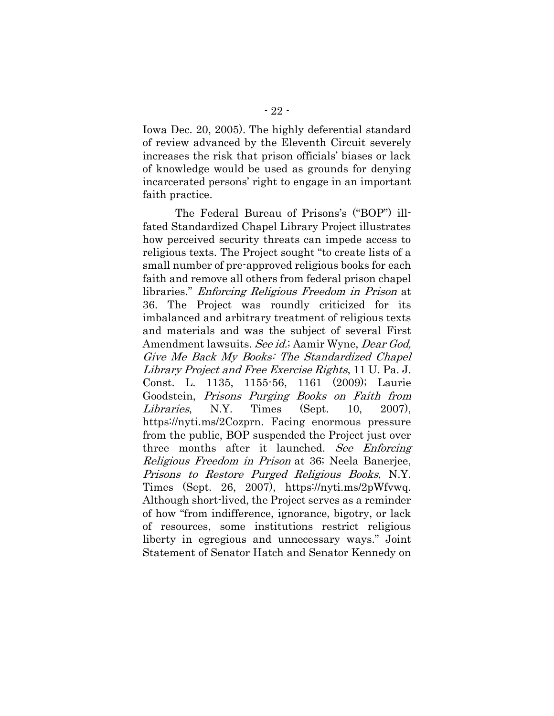Iowa Dec. 20, 2005). The highly deferential standard of review advanced by the Eleventh Circuit severely increases the risk that prison officials' biases or lack of knowledge would be used as grounds for denying incarcerated persons' right to engage in an important faith practice.

<span id="page-29-1"></span><span id="page-29-0"></span>The Federal Bureau of Prisons's ("BOP") illfated Standardized Chapel Library Project illustrates how perceived security threats can impede access to religious texts. The Project sought "to create lists of a small number of pre-approved religious books for each faith and remove all others from federal prison chapel libraries." Enforcing Religious Freedom in Prison at 36. The Project was roundly criticized for its imbalanced and arbitrary treatment of religious texts and materials and was the subject of several First Amendment lawsuits. See id.; Aamir Wyne, Dear God, Give Me Back My Books: The Standardized Chapel Library Project and Free Exercise Rights, 11 U. Pa. J. Const. L. 1135, 1155-56, 1161 (2009); Laurie Goodstein, Prisons Purging Books on Faith from Libraries, N.Y. Times (Sept. 10, 2007), https://nyti.ms/2Cozprn. Facing enormous pressure from the public, BOP suspended the Project just over three months after it launched. See Enforcing Religious Freedom in Prison at 36; Neela Banerjee, Prisons to Restore Purged Religious Books, N.Y. Times (Sept. 26, 2007), https://nyti.ms/2pWfvwq. Although short-lived, the Project serves as a reminder of how "from indifference, ignorance, bigotry, or lack of resources, some institutions restrict religious liberty in egregious and unnecessary ways." Joint Statement of Senator Hatch and Senator Kennedy on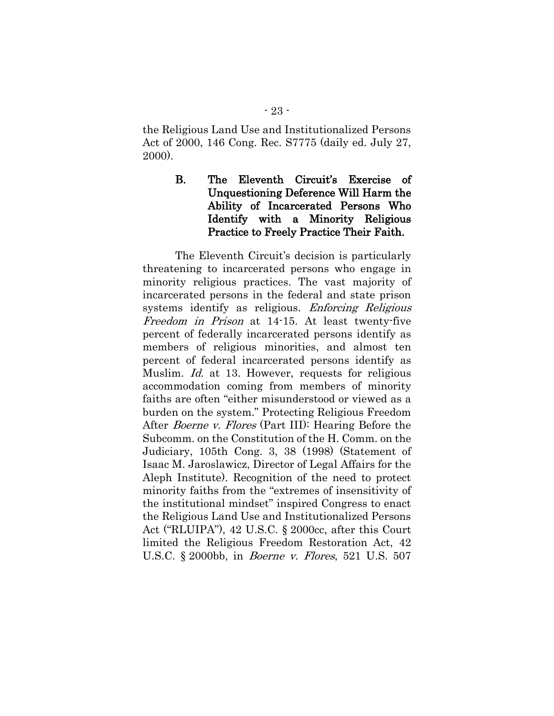the Religious Land Use and Institutionalized Persons Act of 2000, 146 Cong. Rec. S7775 (daily ed. July 27, 2000).

> B. The Eleventh Circuit's Exercise of Unquestioning Deference Will Harm the Ability of Incarcerated Persons Who Identify with a Minority Religious Practice to Freely Practice Their Faith.

<span id="page-30-3"></span><span id="page-30-2"></span><span id="page-30-1"></span><span id="page-30-0"></span>The Eleventh Circuit's decision is particularly threatening to incarcerated persons who engage in minority religious practices. The vast majority of incarcerated persons in the federal and state prison systems identify as religious. *Enforcing Religious* Freedom in Prison at 14-15. At least twenty-five percent of federally incarcerated persons identify as members of religious minorities, and almost ten percent of federal incarcerated persons identify as Muslim. *Id.* at 13. However, requests for religious accommodation coming from members of minority faiths are often "either misunderstood or viewed as a burden on the system." Protecting Religious Freedom After Boerne v. Flores (Part III): Hearing Before the Subcomm. on the Constitution of the H. Comm. on the Judiciary, 105th Cong. 3, 38 (1998) (Statement of Isaac M. Jaroslawicz, Director of Legal Affairs for the Aleph Institute). Recognition of the need to protect minority faiths from the "extremes of insensitivity of the institutional mindset" inspired Congress to enact the Religious Land Use and Institutionalized Persons Act ("RLUIPA"), 42 U.S.C. § 2000cc, after this Court limited the Religious Freedom Restoration Act, 42 U.S.C. § 2000bb, in Boerne v. Flores, 521 U.S. 507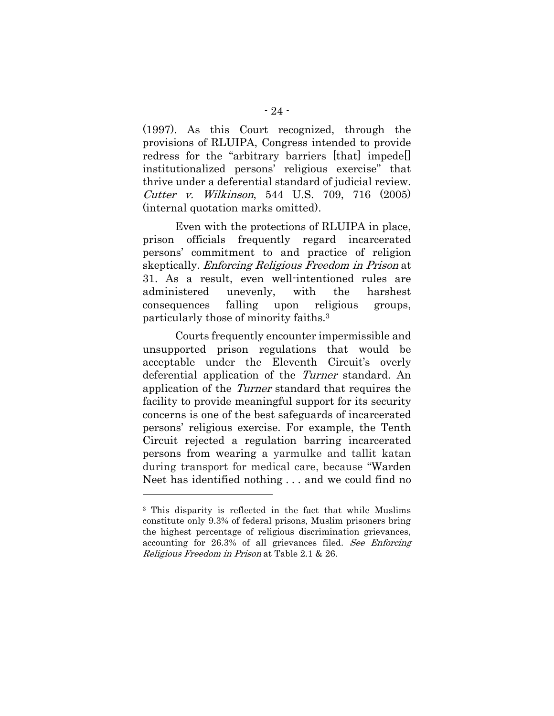(1997). As this Court recognized, through the provisions of RLUIPA, Congress intended to provide redress for the "arbitrary barriers [that] impede[] institutionalized persons' religious exercise" that thrive under a deferential standard of judicial review. Cutter v. Wilkinson, 544 U.S. 709, 716 (2005) (internal quotation marks omitted).

<span id="page-31-0"></span>Even with the protections of RLUIPA in place, prison officials frequently regard incarcerated persons' commitment to and practice of religion skeptically. Enforcing Religious Freedom in Prison at 31. As a result, even well-intentioned rules are administered unevenly, with the harshest consequences falling upon religious groups, particularly those of minority faiths.<sup>3</sup>

Courts frequently encounter impermissible and unsupported prison regulations that would be acceptable under the Eleventh Circuit's overly deferential application of the Turner standard. An application of the Turner standard that requires the facility to provide meaningful support for its security concerns is one of the best safeguards of incarcerated persons' religious exercise. For example, the Tenth Circuit rejected a regulation barring incarcerated persons from wearing a yarmulke and tallit katan during transport for medical care, because "Warden Neet has identified nothing . . . and we could find no

<sup>3</sup> This disparity is reflected in the fact that while Muslims constitute only 9.3% of federal prisons, Muslim prisoners bring the highest percentage of religious discrimination grievances, accounting for 26.3% of all grievances filed. See Enforcing Religious Freedom in Prison at Table 2.1 & 26.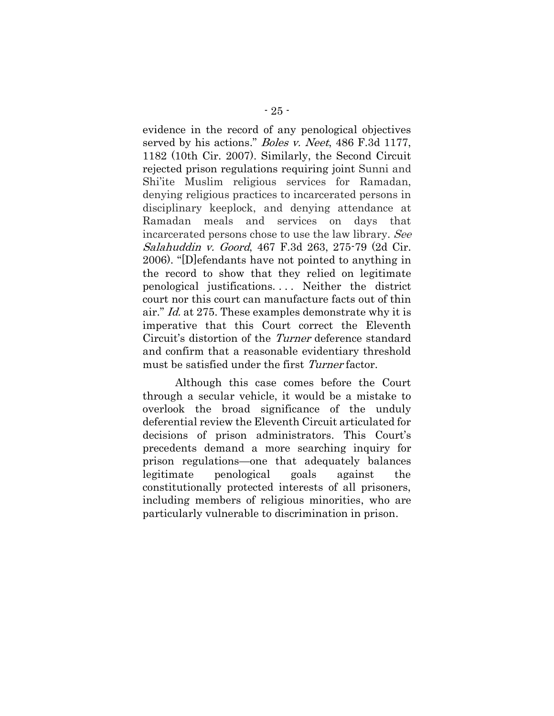<span id="page-32-0"></span>evidence in the record of any penological objectives served by his actions." Boles v. Neet, 486 F.3d 1177, 1182 (10th Cir. 2007). Similarly, the Second Circuit rejected prison regulations requiring joint Sunni and Shi'ite Muslim religious services for Ramadan, denying religious practices to incarcerated persons in disciplinary keeplock, and denying attendance at Ramadan meals and services on days that incarcerated persons chose to use the law library. See Salahuddin v. Goord, 467 F.3d 263, 275-79 (2d Cir. 2006). "[D]efendants have not pointed to anything in the record to show that they relied on legitimate penological justifications. . . . Neither the district court nor this court can manufacture facts out of thin air." Id. at 275. These examples demonstrate why it is imperative that this Court correct the Eleventh Circuit's distortion of the Turner deference standard and confirm that a reasonable evidentiary threshold must be satisfied under the first *Turner* factor.

Although this case comes before the Court through a secular vehicle, it would be a mistake to overlook the broad significance of the unduly deferential review the Eleventh Circuit articulated for decisions of prison administrators. This Court's precedents demand a more searching inquiry for prison regulations—one that adequately balances legitimate penological goals against the constitutionally protected interests of all prisoners, including members of religious minorities, who are particularly vulnerable to discrimination in prison.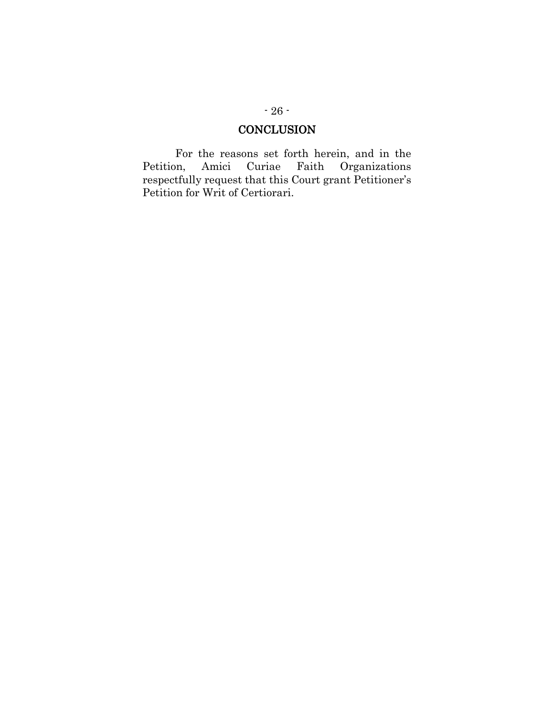### **CONCLUSION**

For the reasons set forth herein, and in the Petition, Amici Curiae Faith Organizations respectfully request that this Court grant Petitioner's Petition for Writ of Certiorari.